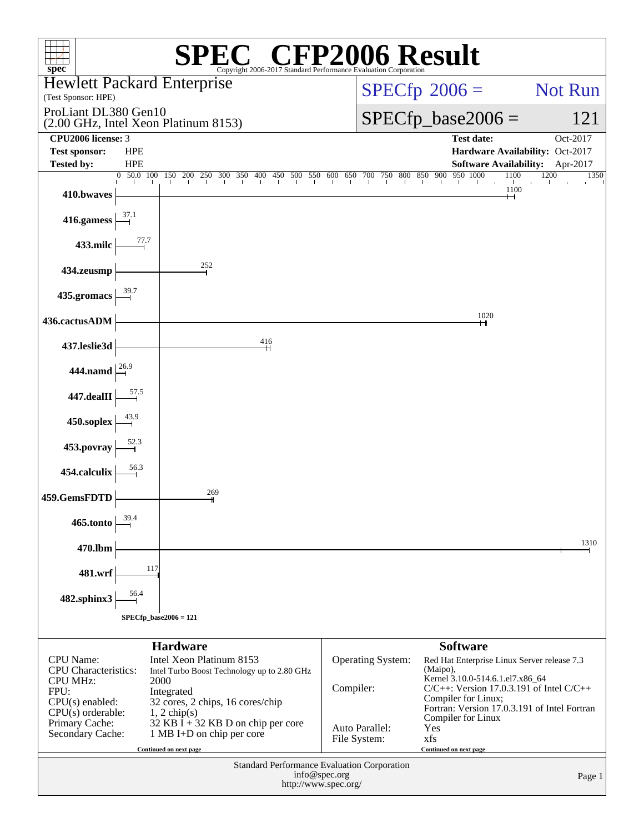| $spec^*$                                       |                                                              |                                                                 |     |  | Copyright 2006-2017 Standard Performance Evaluation Corporation |  |               |                                |  |                              |                      | <b>CEP2006 Result</b>                                                             |      |                      |      |          |         |
|------------------------------------------------|--------------------------------------------------------------|-----------------------------------------------------------------|-----|--|-----------------------------------------------------------------|--|---------------|--------------------------------|--|------------------------------|----------------------|-----------------------------------------------------------------------------------|------|----------------------|------|----------|---------|
| <b>Hewlett Packard Enterprise</b>              |                                                              |                                                                 |     |  |                                                                 |  |               |                                |  |                              |                      |                                                                                   |      |                      |      |          | Not Run |
| (Test Sponsor: HPE)                            |                                                              |                                                                 |     |  |                                                                 |  |               |                                |  | $SPECfp^{\circledast}2006 =$ |                      |                                                                                   |      |                      |      |          |         |
|                                                | ProLiant DL380 Gen10<br>(2.00 GHz, Intel Xeon Platinum 8153) |                                                                 |     |  |                                                                 |  |               |                                |  |                              | $SPECfp\_base2006 =$ |                                                                                   |      |                      |      | 121      |         |
| CPU2006 license: 3                             |                                                              |                                                                 |     |  |                                                                 |  |               |                                |  |                              |                      | <b>Test date:</b>                                                                 |      |                      |      | Oct-2017 |         |
| <b>Test sponsor:</b><br><b>Tested by:</b>      | <b>HPE</b><br><b>HPE</b>                                     |                                                                 |     |  |                                                                 |  |               |                                |  |                              |                      | Hardware Availability: Oct-2017<br>Software Availability: Apr-2017                |      |                      |      |          |         |
|                                                | 0 50.0 100                                                   | 150 200 250 300 350 400 450 500 550 600 650 700 750 800 850 900 |     |  |                                                                 |  |               |                                |  |                              |                      | 950 1000                                                                          |      | 1100<br>$\mathbf{L}$ | 1200 |          | 1350    |
| 410.bwaves                                     |                                                              |                                                                 |     |  |                                                                 |  |               |                                |  |                              |                      |                                                                                   |      | 1100<br>⊣⊣           |      |          |         |
| 416.gamess                                     | 37.1                                                         |                                                                 |     |  |                                                                 |  |               |                                |  |                              |                      |                                                                                   |      |                      |      |          |         |
| 433.milc                                       | 77.7                                                         |                                                                 |     |  |                                                                 |  |               |                                |  |                              |                      |                                                                                   |      |                      |      |          |         |
| 434.zeusmp                                     |                                                              |                                                                 | 252 |  |                                                                 |  |               |                                |  |                              |                      |                                                                                   |      |                      |      |          |         |
| 435.gromacs                                    |                                                              |                                                                 |     |  |                                                                 |  |               |                                |  |                              |                      |                                                                                   |      |                      |      |          |         |
| 436.cactusADM                                  |                                                              |                                                                 |     |  |                                                                 |  |               |                                |  |                              |                      |                                                                                   | 1020 |                      |      |          |         |
| 437.leslie3d                                   |                                                              |                                                                 |     |  | 416<br>$\mathsf{H}$                                             |  |               |                                |  |                              |                      |                                                                                   |      |                      |      |          |         |
| 444.namd $\frac{26.9}{1}$                      |                                                              |                                                                 |     |  |                                                                 |  |               |                                |  |                              |                      |                                                                                   |      |                      |      |          |         |
| 447.dealII                                     |                                                              |                                                                 |     |  |                                                                 |  |               |                                |  |                              |                      |                                                                                   |      |                      |      |          |         |
| 450.soplex                                     |                                                              |                                                                 |     |  |                                                                 |  |               |                                |  |                              |                      |                                                                                   |      |                      |      |          |         |
| 453.povray                                     |                                                              |                                                                 |     |  |                                                                 |  |               |                                |  |                              |                      |                                                                                   |      |                      |      |          |         |
| 454.calculix                                   |                                                              |                                                                 |     |  |                                                                 |  |               |                                |  |                              |                      |                                                                                   |      |                      |      |          |         |
| 459.GemsFDTD                                   |                                                              |                                                                 | 269 |  |                                                                 |  |               |                                |  |                              |                      |                                                                                   |      |                      |      |          |         |
| 465.tonto                                      | 39.4                                                         |                                                                 |     |  |                                                                 |  |               |                                |  |                              |                      |                                                                                   |      |                      |      |          |         |
| 470.lbm                                        |                                                              |                                                                 |     |  |                                                                 |  |               |                                |  |                              |                      |                                                                                   |      |                      |      |          | 1310    |
| 481.wrf                                        | 117                                                          |                                                                 |     |  |                                                                 |  |               |                                |  |                              |                      |                                                                                   |      |                      |      |          |         |
| 482.sphinx3                                    | 56.4                                                         |                                                                 |     |  |                                                                 |  |               |                                |  |                              |                      |                                                                                   |      |                      |      |          |         |
|                                                | $SPECfp\_base2006 = 121$                                     |                                                                 |     |  |                                                                 |  |               |                                |  |                              |                      |                                                                                   |      |                      |      |          |         |
|                                                |                                                              | <b>Hardware</b>                                                 |     |  |                                                                 |  |               |                                |  |                              |                      | <b>Software</b>                                                                   |      |                      |      |          |         |
| <b>CPU</b> Name:                               |                                                              | Intel Xeon Platinum 8153                                        |     |  |                                                                 |  |               | <b>Operating System:</b>       |  |                              | (Maipo),             | Red Hat Enterprise Linux Server release 7.3                                       |      |                      |      |          |         |
| <b>CPU</b> Characteristics:<br><b>CPU MHz:</b> |                                                              | Intel Turbo Boost Technology up to 2.80 GHz<br>2000             |     |  |                                                                 |  |               |                                |  |                              |                      | Kernel 3.10.0-514.6.1.el7.x86_64<br>$C/C++$ : Version 17.0.3.191 of Intel $C/C++$ |      |                      |      |          |         |
| FPU:<br>$CPU(s)$ enabled:                      |                                                              | Integrated<br>32 cores, 2 chips, 16 cores/chip                  |     |  |                                                                 |  |               | Compiler:                      |  |                              |                      | Compiler for Linux;                                                               |      |                      |      |          |         |
| $CPU(s)$ orderable:<br>Primary Cache:          |                                                              | $1, 2$ chip(s)<br>$32$ KB I + 32 KB D on chip per core          |     |  |                                                                 |  |               |                                |  |                              |                      | Fortran: Version 17.0.3.191 of Intel Fortran<br>Compiler for Linux                |      |                      |      |          |         |
| Secondary Cache:                               |                                                              | 1 MB I+D on chip per core                                       |     |  |                                                                 |  |               | Auto Parallel:<br>File System: |  |                              | Yes<br>xfs           |                                                                                   |      |                      |      |          |         |
|                                                |                                                              | Continued on next page                                          |     |  |                                                                 |  |               |                                |  |                              |                      | Continued on next page                                                            |      |                      |      |          |         |
|                                                |                                                              |                                                                 |     |  | Standard Performance Evaluation Corporation                     |  | info@spec.org |                                |  |                              |                      |                                                                                   |      |                      |      |          |         |
|                                                |                                                              |                                                                 |     |  |                                                                 |  |               | http://www.spec.org/           |  |                              |                      |                                                                                   |      |                      |      |          | Page 1  |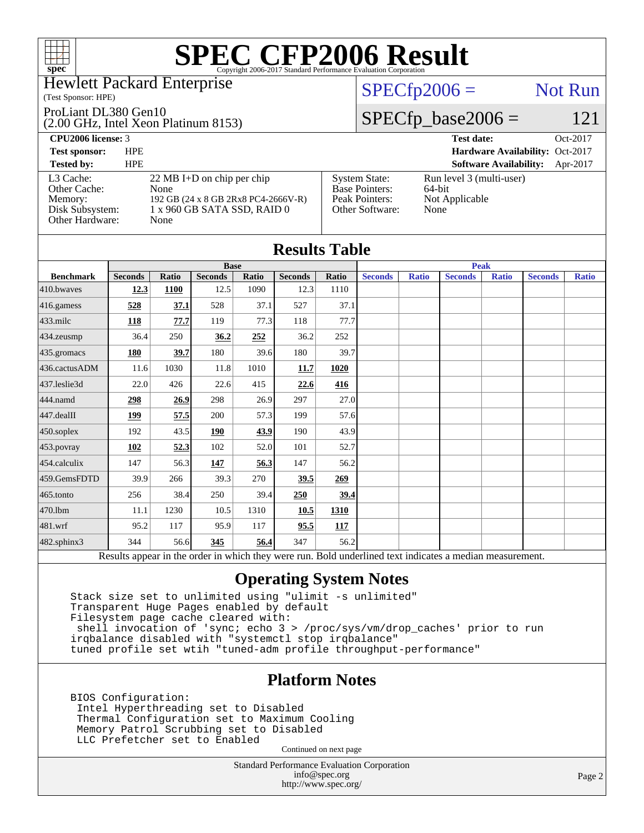#### Hewlett Packard Enterprise

#### (Test Sponsor: HPE)

#### ProLiant DL380 Gen10

(2.00 GHz, Intel Xeon Platinum 8153)

 $SPECfp2006 =$  Not Run

### $SPECfp\_base2006 = 121$

| <b>CPU2006 license: 3</b>                                                  |                                                                                                                            |                                                                                    | <b>Test date:</b>                                            | Oct-2017 |
|----------------------------------------------------------------------------|----------------------------------------------------------------------------------------------------------------------------|------------------------------------------------------------------------------------|--------------------------------------------------------------|----------|
| <b>Test sponsor:</b>                                                       | <b>HPE</b>                                                                                                                 |                                                                                    | Hardware Availability: Oct-2017                              |          |
| <b>Tested by:</b>                                                          | <b>HPE</b>                                                                                                                 |                                                                                    | <b>Software Availability:</b>                                | Apr-2017 |
| L3 Cache:<br>Other Cache:<br>Memory:<br>Disk Subsystem:<br>Other Hardware: | $22 \text{ MB I+D}$ on chip per chip<br>None<br>192 GB (24 x 8 GB 2Rx8 PC4-2666V-R)<br>1 x 960 GB SATA SSD, RAID 0<br>None | <b>System State:</b><br><b>Base Pointers:</b><br>Peak Pointers:<br>Other Software: | Run level 3 (multi-user)<br>64-bit<br>Not Applicable<br>None |          |

| <b>Results Table</b> |                |              |                |       |                |             |                |              |                                                                                                          |              |                |              |  |
|----------------------|----------------|--------------|----------------|-------|----------------|-------------|----------------|--------------|----------------------------------------------------------------------------------------------------------|--------------|----------------|--------------|--|
|                      | <b>Base</b>    |              |                |       |                |             | <b>Peak</b>    |              |                                                                                                          |              |                |              |  |
| <b>Benchmark</b>     | <b>Seconds</b> | <b>Ratio</b> | <b>Seconds</b> | Ratio | <b>Seconds</b> | Ratio       | <b>Seconds</b> | <b>Ratio</b> | <b>Seconds</b>                                                                                           | <b>Ratio</b> | <b>Seconds</b> | <b>Ratio</b> |  |
| $410$ .bwayes        | 12.3           | 1100         | 12.5           | 1090  | 12.3           | 1110        |                |              |                                                                                                          |              |                |              |  |
| 416.gamess           | 528            | 37.1         | 528            | 37.1  | 527            | 37.1        |                |              |                                                                                                          |              |                |              |  |
| $433$ .milc          | 118            | 77.7         | 119            | 77.3  | 118            | 77.7        |                |              |                                                                                                          |              |                |              |  |
| 434.zeusmp           | 36.4           | 250          | 36.2           | 252   | 36.2           | 252         |                |              |                                                                                                          |              |                |              |  |
| 435.gromacs          | 180            | 39.7         | 180            | 39.6  | 180            | 39.7        |                |              |                                                                                                          |              |                |              |  |
| 436.cactusADM        | 11.6           | 1030         | 11.8           | 1010  | 11.7           | 1020        |                |              |                                                                                                          |              |                |              |  |
| 437.leslie3d         | 22.0           | 426          | 22.6           | 415   | 22.6           | 416         |                |              |                                                                                                          |              |                |              |  |
| 444.namd             | 298            | 26.9         | 298            | 26.9  | 297            | 27.0        |                |              |                                                                                                          |              |                |              |  |
| $447$ .dealII        | 199            | 57.5         | 200            | 57.3  | 199            | 57.6        |                |              |                                                                                                          |              |                |              |  |
| $450$ .soplex        | 192            | 43.5         | 190            | 43.9  | 190            | 43.9        |                |              |                                                                                                          |              |                |              |  |
| 453.povray           | 102            | 52.3         | 102            | 52.0  | 101            | 52.7        |                |              |                                                                                                          |              |                |              |  |
| 454.calculix         | 147            | 56.3         | 147            | 56.3  | 147            | 56.2        |                |              |                                                                                                          |              |                |              |  |
| 459.GemsFDTD         | 39.9           | 266          | 39.3           | 270   | 39.5           | 269         |                |              |                                                                                                          |              |                |              |  |
| $465$ .tonto         | 256            | 38.4         | 250            | 39.4  | 250            | <u>39.4</u> |                |              |                                                                                                          |              |                |              |  |
| 470.1bm              | 11.1           | 1230         | 10.5           | 1310  | 10.5           | 1310        |                |              |                                                                                                          |              |                |              |  |
| $ 481$ .wrf          | 95.2           | 117          | 95.9           | 117   | 95.5           | 117         |                |              |                                                                                                          |              |                |              |  |
| 482.sphinx3          | 344            | 56.6         | 345            | 56.4  | 347            | 56.2        |                |              |                                                                                                          |              |                |              |  |
|                      |                |              |                |       |                |             |                |              | Results appear in the order in which they were run. Bold underlined text indicates a median measurement. |              |                |              |  |

### **[Operating System Notes](http://www.spec.org/auto/cpu2006/Docs/result-fields.html#OperatingSystemNotes)**

 Stack size set to unlimited using "ulimit -s unlimited" Transparent Huge Pages enabled by default Filesystem page cache cleared with: shell invocation of 'sync; echo 3 > /proc/sys/vm/drop\_caches' prior to run irqbalance disabled with "systemctl stop irqbalance" tuned profile set wtih "tuned-adm profile throughput-performance"

### **[Platform Notes](http://www.spec.org/auto/cpu2006/Docs/result-fields.html#PlatformNotes)**

 BIOS Configuration: Intel Hyperthreading set to Disabled Thermal Configuration set to Maximum Cooling Memory Patrol Scrubbing set to Disabled LLC Prefetcher set to Enabled

Continued on next page

Standard Performance Evaluation Corporation [info@spec.org](mailto:info@spec.org) <http://www.spec.org/>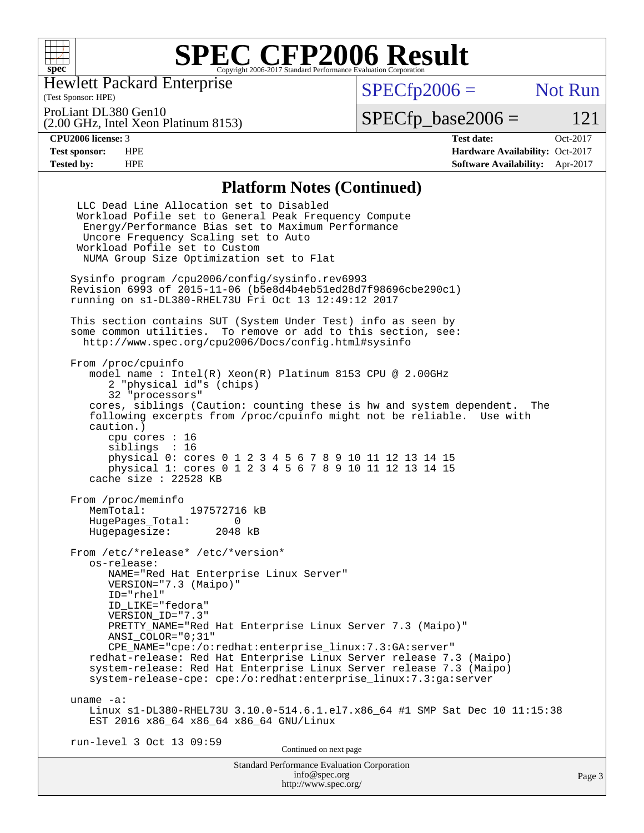

Hewlett Packard Enterprise

(Test Sponsor: HPE)

 $SPECfp2006 =$  Not Run

(2.00 GHz, Intel Xeon Platinum 8153) ProLiant DL380 Gen10

 $SPECTp\_base2006 = 121$ 

**[CPU2006 license:](http://www.spec.org/auto/cpu2006/Docs/result-fields.html#CPU2006license)** 3 **[Test date:](http://www.spec.org/auto/cpu2006/Docs/result-fields.html#Testdate)** Oct-2017 **[Test sponsor:](http://www.spec.org/auto/cpu2006/Docs/result-fields.html#Testsponsor)** HPE **[Hardware Availability:](http://www.spec.org/auto/cpu2006/Docs/result-fields.html#HardwareAvailability)** Oct-2017 **[Tested by:](http://www.spec.org/auto/cpu2006/Docs/result-fields.html#Testedby)** HPE **[Software Availability:](http://www.spec.org/auto/cpu2006/Docs/result-fields.html#SoftwareAvailability)** Apr-2017

#### **[Platform Notes \(Continued\)](http://www.spec.org/auto/cpu2006/Docs/result-fields.html#PlatformNotes)**

| <b>Standard Performance Evaluation Corporation</b><br>info@spec.org                                                                                                                                                                                                                                                                                                                                                                                                                                                                                  | Page 3 |
|------------------------------------------------------------------------------------------------------------------------------------------------------------------------------------------------------------------------------------------------------------------------------------------------------------------------------------------------------------------------------------------------------------------------------------------------------------------------------------------------------------------------------------------------------|--------|
| Continued on next page                                                                                                                                                                                                                                                                                                                                                                                                                                                                                                                               |        |
| uname $-a$ :<br>Linux s1-DL380-RHEL73U 3.10.0-514.6.1.el7.x86_64 #1 SMP Sat Dec 10 11:15:38<br>EST 2016 x86_64 x86_64 x86_64 GNU/Linux<br>run-level 3 Oct 13 09:59                                                                                                                                                                                                                                                                                                                                                                                   |        |
| From /etc/*release* /etc/*version*<br>os-release:<br>NAME="Red Hat Enterprise Linux Server"<br>$VERSION = "7.3 (Mainp0)"$<br>$ID="rhe1"$<br>ID LIKE="fedora"<br>VERSION ID="7.3"<br>PRETTY NAME="Red Hat Enterprise Linux Server 7.3 (Maipo)"<br>ANSI COLOR="0;31"<br>$CPE\_NAME='cpe://o:redhat:enterprise\_linux:7.3:GA:server"$<br>redhat-release: Red Hat Enterprise Linux Server release 7.3 (Maipo)<br>system-release: Red Hat Enterprise Linux Server release 7.3 (Maipo)<br>system-release-cpe: cpe:/o:redhat:enterprise_linux:7.3:ga:server |        |
| From /proc/meminfo<br>MemTotal: 197572716 kB<br>HugePages_Total: 0<br>Hugepagesize: 2048 kB                                                                                                                                                                                                                                                                                                                                                                                                                                                          |        |
| From /proc/cpuinfo<br>model name: $Intel(R)$ Xeon $(R)$ Platinum 8153 CPU @ 2.00GHz<br>2 "physical id"s (chips)<br>32 "processors"<br>cores, siblings (Caution: counting these is hw and system dependent. The<br>following excerpts from /proc/cpuinfo might not be reliable. Use with<br>caution.)<br>cpu cores : 16<br>siblings : 16<br>physical 0: cores 0 1 2 3 4 5 6 7 8 9 10 11 12 13 14 15<br>physical 1: cores 0 1 2 3 4 5 6 7 8 9 10 11 12 13 14 15<br>cache size : $22528$ KB                                                             |        |
| This section contains SUT (System Under Test) info as seen by<br>some common utilities. To remove or add to this section, see:<br>http://www.spec.org/cpu2006/Docs/config.html#sysinfo                                                                                                                                                                                                                                                                                                                                                               |        |
| Sysinfo program /cpu2006/config/sysinfo.rev6993<br>Revision 6993 of 2015-11-06 (b5e8d4b4eb51ed28d7f98696cbe290c1)<br>running on s1-DL380-RHEL73U Fri Oct 13 12:49:12 2017                                                                                                                                                                                                                                                                                                                                                                            |        |
| LLC Dead Line Allocation set to Disabled<br>Workload Pofile set to General Peak Frequency Compute<br>Energy/Performance Bias set to Maximum Performance<br>Uncore Frequency Scaling set to Auto<br>Workload Pofile set to Custom<br>NUMA Group Size Optimization set to Flat                                                                                                                                                                                                                                                                         |        |

<http://www.spec.org/>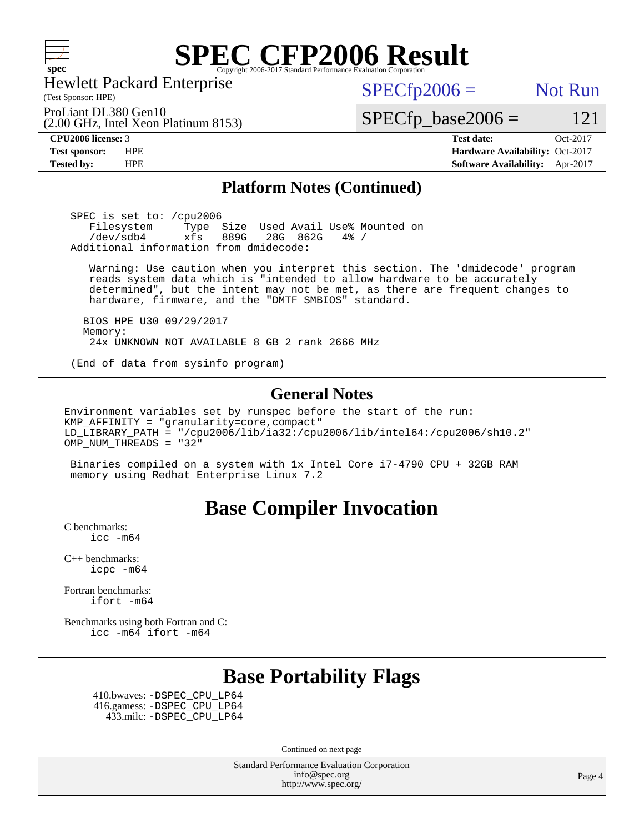

Hewlett Packard Enterprise

(Test Sponsor: HPE)

 $SPECTp2006 =$  Not Run

ProLiant DL380 Gen10

(2.00 GHz, Intel Xeon Platinum 8153)

**[Tested by:](http://www.spec.org/auto/cpu2006/Docs/result-fields.html#Testedby)** HPE **[Software Availability:](http://www.spec.org/auto/cpu2006/Docs/result-fields.html#SoftwareAvailability)** Apr-2017

 $SPECTp\_base2006 = 121$ **[CPU2006 license:](http://www.spec.org/auto/cpu2006/Docs/result-fields.html#CPU2006license)** 3 **[Test date:](http://www.spec.org/auto/cpu2006/Docs/result-fields.html#Testdate)** Oct-2017 **[Test sponsor:](http://www.spec.org/auto/cpu2006/Docs/result-fields.html#Testsponsor)** HPE **[Hardware Availability:](http://www.spec.org/auto/cpu2006/Docs/result-fields.html#HardwareAvailability)** Oct-2017

#### **[Platform Notes \(Continued\)](http://www.spec.org/auto/cpu2006/Docs/result-fields.html#PlatformNotes)**

 SPEC is set to: /cpu2006 Filesystem Type Size Used Avail Use% Mounted on<br>/dev/sdb4 xfs 889G 28G 862G 4% / /dev/sdb4 xfs 889G 28G 862G 4% / Additional information from dmidecode:

 Warning: Use caution when you interpret this section. The 'dmidecode' program reads system data which is "intended to allow hardware to be accurately determined", but the intent may not be met, as there are frequent changes to hardware, firmware, and the "DMTF SMBIOS" standard.

 BIOS HPE U30 09/29/2017 Memory: 24x UNKNOWN NOT AVAILABLE 8 GB 2 rank 2666 MHz

(End of data from sysinfo program)

#### **[General Notes](http://www.spec.org/auto/cpu2006/Docs/result-fields.html#GeneralNotes)**

Environment variables set by runspec before the start of the run: KMP\_AFFINITY = "granularity=core,compact" LD\_LIBRARY\_PATH = "/cpu2006/lib/ia32:/cpu2006/lib/intel64:/cpu2006/sh10.2" OMP\_NUM\_THREADS = "32"

 Binaries compiled on a system with 1x Intel Core i7-4790 CPU + 32GB RAM memory using Redhat Enterprise Linux 7.2

### **[Base Compiler Invocation](http://www.spec.org/auto/cpu2006/Docs/result-fields.html#BaseCompilerInvocation)**

[C benchmarks](http://www.spec.org/auto/cpu2006/Docs/result-fields.html#Cbenchmarks): [icc -m64](http://www.spec.org/cpu2006/results/res2017q4/cpu2006-20171017-50300.flags.html#user_CCbase_intel_icc_64bit_bda6cc9af1fdbb0edc3795bac97ada53)

[C++ benchmarks:](http://www.spec.org/auto/cpu2006/Docs/result-fields.html#CXXbenchmarks) [icpc -m64](http://www.spec.org/cpu2006/results/res2017q4/cpu2006-20171017-50300.flags.html#user_CXXbase_intel_icpc_64bit_fc66a5337ce925472a5c54ad6a0de310)

[Fortran benchmarks](http://www.spec.org/auto/cpu2006/Docs/result-fields.html#Fortranbenchmarks): [ifort -m64](http://www.spec.org/cpu2006/results/res2017q4/cpu2006-20171017-50300.flags.html#user_FCbase_intel_ifort_64bit_ee9d0fb25645d0210d97eb0527dcc06e)

[Benchmarks using both Fortran and C](http://www.spec.org/auto/cpu2006/Docs/result-fields.html#BenchmarksusingbothFortranandC): [icc -m64](http://www.spec.org/cpu2006/results/res2017q4/cpu2006-20171017-50300.flags.html#user_CC_FCbase_intel_icc_64bit_bda6cc9af1fdbb0edc3795bac97ada53) [ifort -m64](http://www.spec.org/cpu2006/results/res2017q4/cpu2006-20171017-50300.flags.html#user_CC_FCbase_intel_ifort_64bit_ee9d0fb25645d0210d97eb0527dcc06e)

### **[Base Portability Flags](http://www.spec.org/auto/cpu2006/Docs/result-fields.html#BasePortabilityFlags)**

 410.bwaves: [-DSPEC\\_CPU\\_LP64](http://www.spec.org/cpu2006/results/res2017q4/cpu2006-20171017-50300.flags.html#suite_basePORTABILITY410_bwaves_DSPEC_CPU_LP64) 416.gamess: [-DSPEC\\_CPU\\_LP64](http://www.spec.org/cpu2006/results/res2017q4/cpu2006-20171017-50300.flags.html#suite_basePORTABILITY416_gamess_DSPEC_CPU_LP64) 433.milc: [-DSPEC\\_CPU\\_LP64](http://www.spec.org/cpu2006/results/res2017q4/cpu2006-20171017-50300.flags.html#suite_basePORTABILITY433_milc_DSPEC_CPU_LP64)

Continued on next page

Standard Performance Evaluation Corporation [info@spec.org](mailto:info@spec.org) <http://www.spec.org/>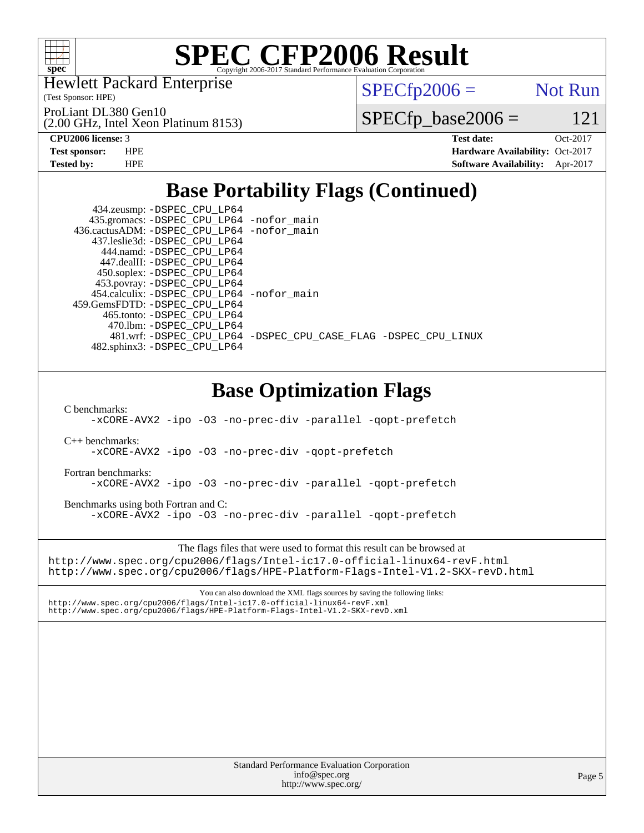

Hewlett Packard Enterprise

(Test Sponsor: HPE)

ProLiant DL380 Gen10

(2.00 GHz, Intel Xeon Platinum 8153)

 $SPECTp2006 =$  Not Run

 $SPECfp\_base2006 = 121$ 

**[CPU2006 license:](http://www.spec.org/auto/cpu2006/Docs/result-fields.html#CPU2006license)** 3 **[Test date:](http://www.spec.org/auto/cpu2006/Docs/result-fields.html#Testdate)** Oct-2017 **[Test sponsor:](http://www.spec.org/auto/cpu2006/Docs/result-fields.html#Testsponsor)** HPE **[Hardware Availability:](http://www.spec.org/auto/cpu2006/Docs/result-fields.html#HardwareAvailability)** Oct-2017 **[Tested by:](http://www.spec.org/auto/cpu2006/Docs/result-fields.html#Testedby)** HPE **[Software Availability:](http://www.spec.org/auto/cpu2006/Docs/result-fields.html#SoftwareAvailability)** Apr-2017

# **[Base Portability Flags \(Continued\)](http://www.spec.org/auto/cpu2006/Docs/result-fields.html#BasePortabilityFlags)**

| 434.zeusmp: -DSPEC_CPU_LP64                |                                                                |
|--------------------------------------------|----------------------------------------------------------------|
| 435.gromacs: -DSPEC_CPU_LP64 -nofor_main   |                                                                |
| 436.cactusADM: -DSPEC_CPU_LP64 -nofor_main |                                                                |
| 437.leslie3d: -DSPEC CPU LP64              |                                                                |
| 444.namd: - DSPEC CPU LP64                 |                                                                |
| 447.dealII: -DSPEC CPU LP64                |                                                                |
| 450.soplex: -DSPEC_CPU_LP64                |                                                                |
| 453.povray: -DSPEC_CPU_LP64                |                                                                |
| 454.calculix: -DSPEC_CPU_LP64 -nofor_main  |                                                                |
| 459. GemsFDTD: - DSPEC CPU LP64            |                                                                |
| 465.tonto: -DSPEC CPU LP64                 |                                                                |
| 470.1bm: - DSPEC CPU LP64                  |                                                                |
|                                            | 481.wrf: -DSPEC_CPU_LP64 -DSPEC_CPU_CASE_FLAG -DSPEC_CPU_LINUX |
| 482.sphinx3: -DSPEC_CPU_LP64               |                                                                |
|                                            |                                                                |
|                                            |                                                                |
|                                            |                                                                |

## **[Base Optimization Flags](http://www.spec.org/auto/cpu2006/Docs/result-fields.html#BaseOptimizationFlags)**

[C benchmarks](http://www.spec.org/auto/cpu2006/Docs/result-fields.html#Cbenchmarks):

[-xCORE-AVX2](http://www.spec.org/cpu2006/results/res2017q4/cpu2006-20171017-50300.flags.html#user_CCbase_f-xCORE-AVX2) [-ipo](http://www.spec.org/cpu2006/results/res2017q4/cpu2006-20171017-50300.flags.html#user_CCbase_f-ipo) [-O3](http://www.spec.org/cpu2006/results/res2017q4/cpu2006-20171017-50300.flags.html#user_CCbase_f-O3) [-no-prec-div](http://www.spec.org/cpu2006/results/res2017q4/cpu2006-20171017-50300.flags.html#user_CCbase_f-no-prec-div) [-parallel](http://www.spec.org/cpu2006/results/res2017q4/cpu2006-20171017-50300.flags.html#user_CCbase_f-parallel) [-qopt-prefetch](http://www.spec.org/cpu2006/results/res2017q4/cpu2006-20171017-50300.flags.html#user_CCbase_f-qopt-prefetch)

[C++ benchmarks:](http://www.spec.org/auto/cpu2006/Docs/result-fields.html#CXXbenchmarks)

[-xCORE-AVX2](http://www.spec.org/cpu2006/results/res2017q4/cpu2006-20171017-50300.flags.html#user_CXXbase_f-xCORE-AVX2) [-ipo](http://www.spec.org/cpu2006/results/res2017q4/cpu2006-20171017-50300.flags.html#user_CXXbase_f-ipo) [-O3](http://www.spec.org/cpu2006/results/res2017q4/cpu2006-20171017-50300.flags.html#user_CXXbase_f-O3) [-no-prec-div](http://www.spec.org/cpu2006/results/res2017q4/cpu2006-20171017-50300.flags.html#user_CXXbase_f-no-prec-div) [-qopt-prefetch](http://www.spec.org/cpu2006/results/res2017q4/cpu2006-20171017-50300.flags.html#user_CXXbase_f-qopt-prefetch)

[Fortran benchmarks](http://www.spec.org/auto/cpu2006/Docs/result-fields.html#Fortranbenchmarks):

[-xCORE-AVX2](http://www.spec.org/cpu2006/results/res2017q4/cpu2006-20171017-50300.flags.html#user_FCbase_f-xCORE-AVX2) [-ipo](http://www.spec.org/cpu2006/results/res2017q4/cpu2006-20171017-50300.flags.html#user_FCbase_f-ipo) [-O3](http://www.spec.org/cpu2006/results/res2017q4/cpu2006-20171017-50300.flags.html#user_FCbase_f-O3) [-no-prec-div](http://www.spec.org/cpu2006/results/res2017q4/cpu2006-20171017-50300.flags.html#user_FCbase_f-no-prec-div) [-parallel](http://www.spec.org/cpu2006/results/res2017q4/cpu2006-20171017-50300.flags.html#user_FCbase_f-parallel) [-qopt-prefetch](http://www.spec.org/cpu2006/results/res2017q4/cpu2006-20171017-50300.flags.html#user_FCbase_f-qopt-prefetch)

[Benchmarks using both Fortran and C](http://www.spec.org/auto/cpu2006/Docs/result-fields.html#BenchmarksusingbothFortranandC): [-xCORE-AVX2](http://www.spec.org/cpu2006/results/res2017q4/cpu2006-20171017-50300.flags.html#user_CC_FCbase_f-xCORE-AVX2) [-ipo](http://www.spec.org/cpu2006/results/res2017q4/cpu2006-20171017-50300.flags.html#user_CC_FCbase_f-ipo) [-O3](http://www.spec.org/cpu2006/results/res2017q4/cpu2006-20171017-50300.flags.html#user_CC_FCbase_f-O3) [-no-prec-div](http://www.spec.org/cpu2006/results/res2017q4/cpu2006-20171017-50300.flags.html#user_CC_FCbase_f-no-prec-div) [-parallel](http://www.spec.org/cpu2006/results/res2017q4/cpu2006-20171017-50300.flags.html#user_CC_FCbase_f-parallel) [-qopt-prefetch](http://www.spec.org/cpu2006/results/res2017q4/cpu2006-20171017-50300.flags.html#user_CC_FCbase_f-qopt-prefetch)

The flags files that were used to format this result can be browsed at <http://www.spec.org/cpu2006/flags/Intel-ic17.0-official-linux64-revF.html> <http://www.spec.org/cpu2006/flags/HPE-Platform-Flags-Intel-V1.2-SKX-revD.html>

You can also download the XML flags sources by saving the following links: <http://www.spec.org/cpu2006/flags/Intel-ic17.0-official-linux64-revF.xml> <http://www.spec.org/cpu2006/flags/HPE-Platform-Flags-Intel-V1.2-SKX-revD.xml>